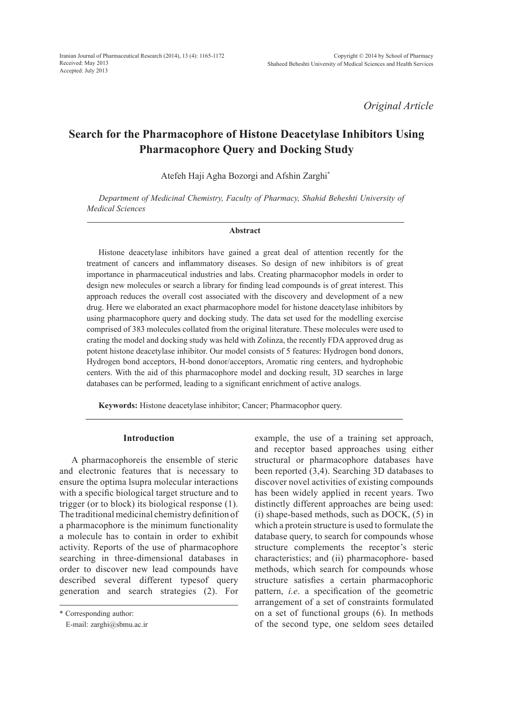*Original Article*

# **Search for the Pharmacophore of Histone Deacetylase Inhibitors Using Pharmacophore Query and Docking Study**

Atefeh Haji Agha Bozorgi and Afshin Zarghi\*

*Department of Medicinal Chemistry, Faculty of Pharmacy, Shahid Beheshti University of Medical Sciences*

#### **Abstract**

Histone deacetylase inhibitors have gained a great deal of attention recently for the treatment of cancers and inflammatory diseases. So design of new inhibitors is of great importance in pharmaceutical industries and labs. Creating pharmacophor models in order to design new molecules or search a library for finding lead compounds is of great interest. This approach reduces the overall cost associated with the discovery and development of a new drug. Here we elaborated an exact pharmacophore model for histone deacetylase inhibitors by using pharmacophore query and docking study. The data set used for the modelling exercise comprised of 383 molecules collated from the original literature. These molecules were used to crating the model and docking study was held with Zolinza, the recently FDA approved drug as potent histone deacetylase inhibitor. Our model consists of 5 features: Hydrogen bond donors, Hydrogen bond acceptors, H-bond donor/acceptors, Aromatic ring centers, and hydrophobic centers. With the aid of this pharmacophore model and docking result, 3D searches in large databases can be performed, leading to a significant enrichment of active analogs.

**Keywords:** Histone deacetylase inhibitor; Cancer; Pharmacophor query.

#### **Introduction**

A pharmacophoreis the ensemble of steric and electronic features that is necessary to ensure the optima lsupra molecular interactions with a specific biological target structure and to trigger (or to block) its biological response (1). The traditional medicinal chemistry definition of a pharmacophore is the minimum functionality a molecule has to contain in order to exhibit activity. Reports of the use of pharmacophore searching in three-dimensional databases in order to discover new lead compounds have described several different typesof query generation and search strategies (2). For example, the use of a training set approach, and receptor based approaches using either structural or pharmacophore databases have been reported (3,4). Searching 3D databases to discover novel activities of existing compounds has been widely applied in recent years. Two distinctly different approaches are being used: (i) shape-based methods, such as DOCK, (5) in which a protein structure is used to formulate the database query, to search for compounds whose structure complements the receptor's steric characteristics; and (ii) pharmacophore- based methods, which search for compounds whose structure satisfies a certain pharmacophoric pattern, *i.e*. a specification of the geometric arrangement of a set of constraints formulated on a set of functional groups (6). In methods of the second type, one seldom sees detailed

<sup>\*</sup> Corresponding author:

E-mail: zarghi@sbmu.ac.ir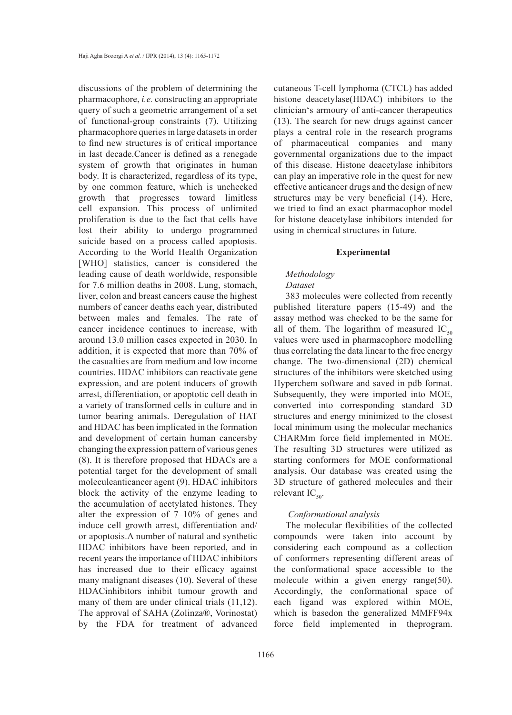discussions of the problem of determining the pharmacophore, *i.e.* constructing an appropriate query of such a geometric arrangement of a set of functional-group constraints (7). Utilizing pharmacophore queries in large datasets in order to find new structures is of critical importance in last decade.Cancer is defined as a renegade system of growth that originates in human body. It is characterized, regardless of its type, by one common feature, which is unchecked growth that progresses toward limitless cell expansion. This process of unlimited proliferation is due to the fact that cells have lost their ability to undergo programmed suicide based on a process called apoptosis. According to the World Health Organization [WHO] statistics, cancer is considered the leading cause of death worldwide, responsible for 7.6 million deaths in 2008. Lung, stomach, liver, colon and breast cancers cause the highest numbers of cancer deaths each year, distributed between males and females. The rate of cancer incidence continues to increase, with around 13.0 million cases expected in 2030. In addition, it is expected that more than 70% of the casualties are from medium and low income countries. HDAC inhibitors can reactivate gene expression, and are potent inducers of growth arrest, differentiation, or apoptotic cell death in a variety of transformed cells in culture and in tumor bearing animals. Deregulation of HAT and HDAC has been implicated in the formation and development of certain human cancersby changing the expression pattern of various genes (8). It is therefore proposed that HDACs are a potential target for the development of small moleculeanticancer agent (9). HDAC inhibitors block the activity of the enzyme leading to the accumulation of acetylated histones. They alter the expression of 7–10% of genes and induce cell growth arrest, differentiation and/ or apoptosis.A number of natural and synthetic HDAC inhibitors have been reported, and in recent years the importance of HDAC inhibitors has increased due to their efficacy against many malignant diseases (10). Several of these HDACinhibitors inhibit tumour growth and many of them are under clinical trials  $(11,12)$ . The approval of SAHA (Zolinza®, Vorinostat) by the FDA for treatment of advanced

cutaneous T-cell lymphoma (CTCL) has added histone deacetylase(HDAC) inhibitors to the clinician's armoury of anti-cancer therapeutics (13). The search for new drugs against cancer plays a central role in the research programs of pharmaceutical companies and many governmental organizations due to the impact of this disease. Histone deacetylase inhibitors can play an imperative role in the quest for new effective anticancer drugs and the design of new structures may be very beneficial (14). Here, we tried to find an exact pharmacophor model for histone deacetylase inhibitors intended for using in chemical structures in future.

#### **Experimental**

## *Methodology*

## *Dataset*

383 molecules were collected from recently published literature papers (15-49) and the assay method was checked to be the same for all of them. The logarithm of measured  $IC_{50}$ values were used in pharmacophore modelling thus correlating the data linear to the free energy change. The two-dimensional (2D) chemical structures of the inhibitors were sketched using Hyperchem software and saved in pdb format. Subsequently, they were imported into MOE, converted into corresponding standard 3D structures and energy minimized to the closest local minimum using the molecular mechanics CHARMm force field implemented in MOE. The resulting 3D structures were utilized as starting conformers for MOE conformational analysis. Our database was created using the 3D structure of gathered molecules and their relevant  $IC_{50}$ .

## *Conformational analysis*

The molecular flexibilities of the collected compounds were taken into account by considering each compound as a collection of conformers representing different areas of the conformational space accessible to the molecule within a given energy range(50). Accordingly, the conformational space of each ligand was explored within MOE, which is basedon the generalized MMFF94x force field implemented in theprogram.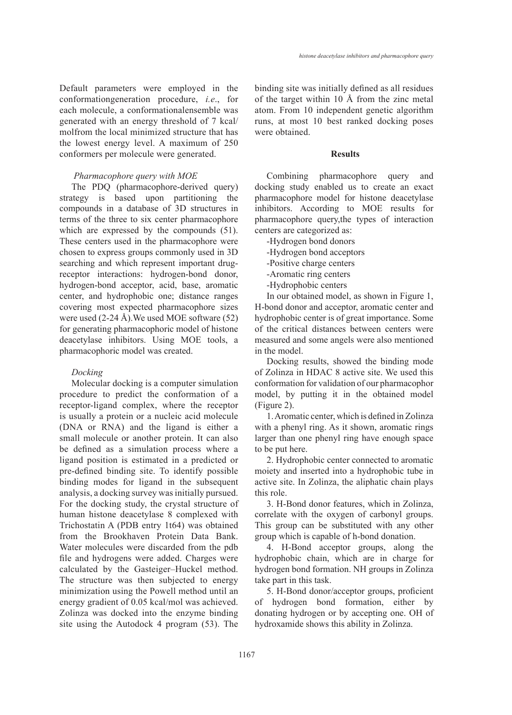Default parameters were employed in the conformationgeneration procedure, *i.e*., for each molecule, a conformationalensemble was generated with an energy threshold of 7 kcal/ molfrom the local minimized structure that has the lowest energy level. A maximum of 250 conformers per molecule were generated.

#### *Pharmacophore query with MOE*

The PDQ (pharmacophore-derived query) strategy is based upon partitioning the compounds in a database of 3D structures in terms of the three to six center pharmacophore which are expressed by the compounds  $(51)$ . These centers used in the pharmacophore were chosen to express groups commonly used in 3D searching and which represent important drugreceptor interactions: hydrogen-bond donor, hydrogen-bond acceptor, acid, base, aromatic center, and hydrophobic one; distance ranges covering most expected pharmacophore sizes were used  $(2-24 \text{ Å})$ . We used MOE software  $(52)$ for generating pharmacophoric model of histone deacetylase inhibitors. Using MOE tools, a pharmacophoric model was created.

# *Docking*

Molecular docking is a computer simulation procedure to predict the conformation of a receptor-ligand complex, where the receptor is usually a protein or a nucleic acid molecule (DNA or RNA) and the ligand is either a small molecule or another protein. It can also be defined as a simulation process where a ligand position is estimated in a predicted or pre-defined binding site. To identify possible binding modes for ligand in the subsequent analysis, a docking survey was initially pursued. For the docking study, the crystal structure of human histone deacetylase 8 complexed with Trichostatin A (PDB entry 1t64) was obtained from the Brookhaven Protein Data Bank. Water molecules were discarded from the pdb file and hydrogens were added. Charges were calculated by the Gasteiger–Huckel method. The structure was then subjected to energy minimization using the Powell method until an energy gradient of 0.05 kcal/mol was achieved. Zolinza was docked into the enzyme binding site using the Autodock 4 program (53). The

binding site was initially defined as all residues of the target within 10 Å from the zinc metal atom. From 10 independent genetic algorithm runs, at most 10 best ranked docking poses were obtained.

## **Results**

Combining pharmacophore query and docking study enabled us to create an exact pharmacophore model for histone deacetylase inhibitors. According to MOE results for pharmacophore query,the types of interaction centers are categorized as:

- -Hydrogen bond donors
- -Hydrogen bond acceptors
- -Positive charge centers
- -Aromatic ring centers
- -Hydrophobic centers

In our obtained model, as shown in Figure 1, H-bond donor and acceptor, aromatic center and hydrophobic center is of great importance. Some of the critical distances between centers were measured and some angels were also mentioned in the model.

Docking results, showed the binding mode of Zolinza in HDAC 8 active site. We used this conformation for validation of our pharmacophor model, by putting it in the obtained model (Figure 2).

1. Aromatic center, which is defined in Zolinza with a phenyl ring. As it shown, aromatic rings larger than one phenyl ring have enough space to be put here.

2. Hydrophobic center connected to aromatic moiety and inserted into a hydrophobic tube in active site. In Zolinza, the aliphatic chain plays this role.

3. H-Bond donor features, which in Zolinza, correlate with the oxygen of carbonyl groups. This group can be substituted with any other group which is capable of h-bond donation.

4. H-Bond acceptor groups, along the hydrophobic chain, which are in charge for hydrogen bond formation. NH groups in Zolinza take part in this task.

5. H-Bond donor/acceptor groups, proficient of hydrogen bond formation, either by donating hydrogen or by accepting one. OH of hydroxamide shows this ability in Zolinza.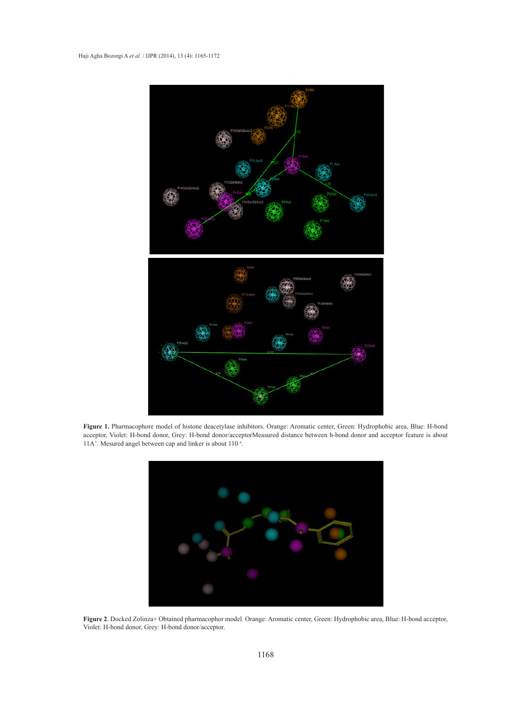

**Figure 1.** Pharmacophore model of histone deacetylase inhibitors. Orange: Aromatic center, Green: Hydrophobic area, Blue: H-bond acceptor, Violet: H-bond donor, Grey: H-bond donor/acceptorMeasured distance between h-bond donor and acceptor feature is about 11A°. Mesured angel between cap and linker is about 110 °.



**Figure 2**. Docked Zolinza+ Obtained pharmacophor model. Orange: Aromatic center, Green: Hydrophobic area, Blue: H-bond acceptor, Violet: H-bond donor, Grey: H-bond donor/acceptor.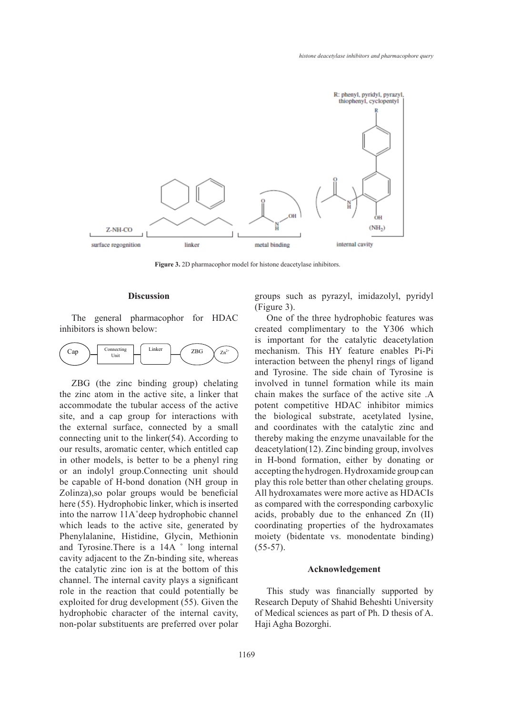

**Figure 3.** 2D pharmacophor model for histone deacetylase inhibitors.

#### **Discussion**

The general pharmacophor for HDAC inhibitors is shown below:



ZBG (the zinc binding group) chelating the zinc atom in the active site, a linker that accommodate the tubular access of the active site, and a cap group for interactions with the external surface, connected by a small connecting unit to the linker(54). According to our results, aromatic center, which entitled cap in other models, is better to be a phenyl ring or an indolyl group.Connecting unit should be capable of H-bond donation (NH group in Zolinza),so polar groups would be beneficial here (55). Hydrophobic linker, which is inserted into the narrow 11A˚deep hydrophobic channel which leads to the active site, generated by Phenylalanine, Histidine, Glycin, Methionin and Tyrosine.There is a 14A ˚ long internal cavity adjacent to the Zn-binding site, whereas the catalytic zinc ion is at the bottom of this channel. The internal cavity plays a significant role in the reaction that could potentially be exploited for drug development (55). Given the hydrophobic character of the internal cavity, non-polar substituents are preferred over polar groups such as pyrazyl, imidazolyl, pyridyl (Figure 3).

One of the three hydrophobic features was created complimentary to the Y306 which is important for the catalytic deacetylation mechanism. This HY feature enables Pi-Pi interaction between the phenyl rings of ligand and Tyrosine. The side chain of Tyrosine is involved in tunnel formation while its main chain makes the surface of the active site .A potent competitive HDAC inhibitor mimics the biological substrate, acetylated lysine, and coordinates with the catalytic zinc and thereby making the enzyme unavailable for the deacetylation(12). Zinc binding group, involves in H-bond formation, either by donating or accepting the hydrogen. Hydroxamide group can play this role better than other chelating groups. All hydroxamates were more active as HDACIs as compared with the corresponding carboxylic acids, probably due to the enhanced Zn (II) coordinating properties of the hydroxamates moiety (bidentate vs. monodentate binding)  $(55-57)$ .

#### **Acknowledgement**

This study was financially supported by Research Deputy of Shahid Beheshti University of Medical sciences as part of Ph. D thesis of A. Haji Agha Bozorghi.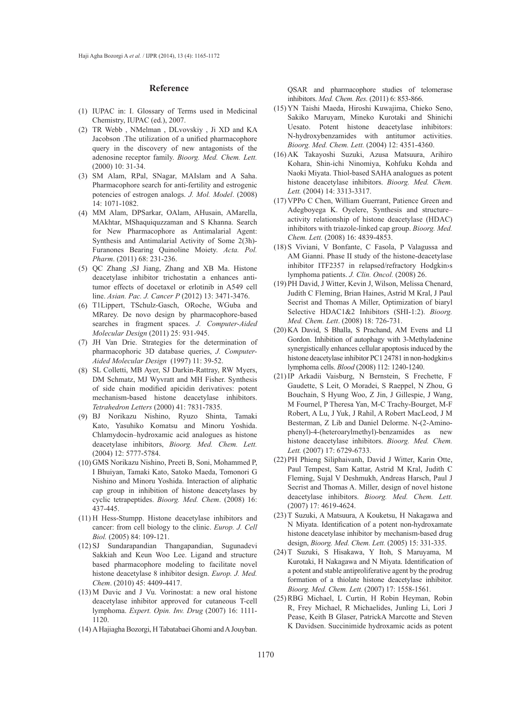#### **Reference**

- IUPAC in: I. Glossary of Terms used in Medicinal (1) Chemistry, IUPAC (ed.), 2007.
- (2) TR Webb, NMelman, DLvovskiy, Ji XD and KA Jacobson .The utilization of a unified pharmacophore query in the discovery of new antagonists of the adenosine receptor family. *Bioorg. Med. Chem. Lett.* (2000) 10: 31-34.
- (3) SM Alam, RPal, SNagar, MAIslam and A Saha. Pharmacophore search for anti-fertility and estrogenic potencies of estrogen analogs. *J. Mol. Model*. (2008) 14: 1071-1082.
- MM Alam, DPSarkar, OAlam, AHusain, AMarella, (4) MAkhtar, MShaquiquzzaman and S Khanna. Search for New Pharmacophore as Antimalarial Agent: Synthesis and Antimalarial Activity of Some 2(3h)- Furanones Bearing Quinoline Moiety. *Acta. Pol. Pharm*. (2011) 68: 231-236.
- QC Zhang ,SJ Jiang, Zhang and XB Ma. Histone (5) deacetylase inhibitor trichostatin a enhances antitumor effects of docetaxel or erlotinib in A549 cell line. *Asian. Pac. J. Cancer P* (2012) 13: 3471-3476.
- T1Lippert, TSchulz-Gasch, ORoche, WGuba and (6) MRarey. De novo design by pharmacophore-based searches in fragment spaces. *J. Computer-Aided Molecular Design* (2011) 25: 931-945.
- (7) JH Van Drie. Strategies for the determination of pharmacophoric 3D database queries, *J. Computer-Aided Molecular Design* (1997) 11: 39-52.
- (8) SL Colletti, MB Ayer, SJ Darkin-Rattray, RW Myers, DM Schmatz, MJ Wyvratt and MH Fisher. Synthesis of side chain modified apicidin derivatives: potent mechanism-based histone deacetylase inhibitors. *Tetrahedron Letters* (2000) 41: 7831-7835.
- BJ Norikazu Nishino, Ryuzo Shinta, Tamaki (9) Kato, Yasuhiko Komatsu and Minoru Yoshida. Chlamydocin–hydroxamic acid analogues as histone deacetylase inhibitors, *Bioorg. Med. Chem. Lett.* (2004) 12: 5777-5784.
- GMS Norikazu Nishino, Preeti B, Soni, Mohammed P, (10) I Bhuiyan, Tamaki Kato, Satoko Maeda, Tomonori G Nishino and Minoru Yoshida. Interaction of aliphatic cap group in inhibition of histone deacetylases by cyclic tetrapeptides. *Bioorg. Med. Chem*. (2008) 16: 437-445.
- $(11)$  H Hess-Stumpp. Histone deacetylase inhibitors and cancer: from cell biology to the clinic. *Europ. J. Cell Biol.* (2005) 84: 109-121.
- (12) SJ Sundarapandian Thangapandian, Sugunadevi Sakkiah and Keun Woo Lee. Ligand and structure based pharmacophore modeling to facilitate novel histone deacetylase 8 inhibitor design. *Europ. J. Med. Chem*. (2010) 45: 4409-4417.
- $(13)$  M Duvic and J Vu. Vorinostat: a new oral histone deacetylase inhibitor approved for cutaneous T-cell lymphoma. *Expert. Opin. Inv. Drug* (2007) 16: 1111- 1120.
- A Hajiagha Bozorgi, H Tabatabaei Ghomi and A Jouyban. (14)

QSAR and pharmacophore studies of telomerase inhibitors. *Med. Chem. Res.* (2011) 6: 853-866.

- YN Taishi Maeda, Hiroshi Kuwajima, Chieko Seno, (15) Sakiko Maruyam, Mineko Kurotaki and Shinichi Uesato. Potent histone deacetylase inhibitors: N-hydroxybenzamides with antitumor activities. *Bioorg. Med. Chem. Lett.* (2004) 12: 4351-4360.
- (16) AK Takayoshi Suzuki, Azusa Matsuura, Arihiro Kohara, Shin-ichi Ninomiya, Kohfuku Kohda and Naoki Miyata. Thiol-based SAHA analogues as potent histone deacetylase inhibitors. *Bioorg. Med. Chem. Lett.* (2004) 14: 3313-3317.
- VPPo C Chen, William Guerrant, Patience Green and (17) Adegboyega K. Oyelere, Synthesis and structure– activity relationship of histone deacetylase (HDAC) inhibitors with triazole-linked cap group. *Bioorg. Med. Chem. Lett.* (2008) 16: 4839-4853.
- (18) S Viviani, V Bonfante, C Fasola, P Valagussa and AM Gianni. Phase II study of the histone-deacetylase inhibitor ITF2357 in relapsed/refractory Hodgkin›s lymphoma patients. *J. Clin. Oncol.* (2008) 26.
- (19) PH David, J Witter, Kevin J, Wilson, Melissa Chenard, Judith C Fleming, Brian Haines, Astrid M Kral, J Paul Secrist and Thomas A Miller, Optimization of biaryl Selective HDAC1&2 Inhibitors (SHI-1:2). *Bioorg. Med. Chem. Lett*. (2008) 18: 726-731.
- (20) KA David, S Bhalla, S Prachand, AM Evens and LI Gordon. Inhibition of autophagy with 3-Methyladenine synergistically enhances cellular apoptosis induced by the histone deacetylase inhibitor PC1 24781 in non-hodgkin›s lymphoma cells. *Blood* (2008) 112: 1240-1240.
- (21) IP Arkadii Vaisburg, N Bernstein, S Frechette, F Gaudette, S Leit, O Moradei, S Raeppel, N Zhou, G Bouchain, S Hyung Woo, Z Jin, J Gillespie, J Wang, M Fournel, P Theresa Yan, M-C Trachy-Bourget, M-F Robert, A Lu, J Yuk, J Rahil, A Robert MacLeod, J M Besterman, Z Lib and Daniel Delorme. N-(2-Aminophenyl)-4-(heteroarylmethyl)-benzamides as new histone deacetylase inhibitors. *Bioorg. Med. Chem. Lett.* (2007) 17: 6729-6733.
- (22) PH Phieng Siliphaivanh, David J Witter, Karin Otte, Paul Tempest, Sam Kattar, Astrid M Kral, Judith C Fleming, Sujal V Deshmukh, Andreas Harsch, Paul J Secrist and Thomas A. Miller, design of novel histone deacetylase inhibitors. *Bioorg. Med. Chem. Lett.* (2007) 17: 4619-4624.
- (23) T Suzuki, A Matsuura, A Kouketsu, H Nakagawa and N Miyata. Identification of a potent non-hydroxamate histone deacetylase inhibitor by mechanism-based drug design, *Bioorg. Med. Chem. Lett.* (2005) 15: 331-335.
- T Suzuki, S Hisakawa, Y Itoh, S Maruyama, M (24) Kurotaki, H Nakagawa and N Miyata. Identification of a potent and stable antiproliferative agent by the prodrug formation of a thiolate histone deacetylase inhibitor. *Bioorg. Med. Chem. Lett.* (2007) 17: 1558-1561.
- (25) RBG Michael, L Curtin, H Robin Heyman, Robin R, Frey Michael, R Michaelides, Junling Li, Lori J Pease, Keith B Glaser, PatrickA Marcotte and Steven K Davidsen. Succinimide hydroxamic acids as potent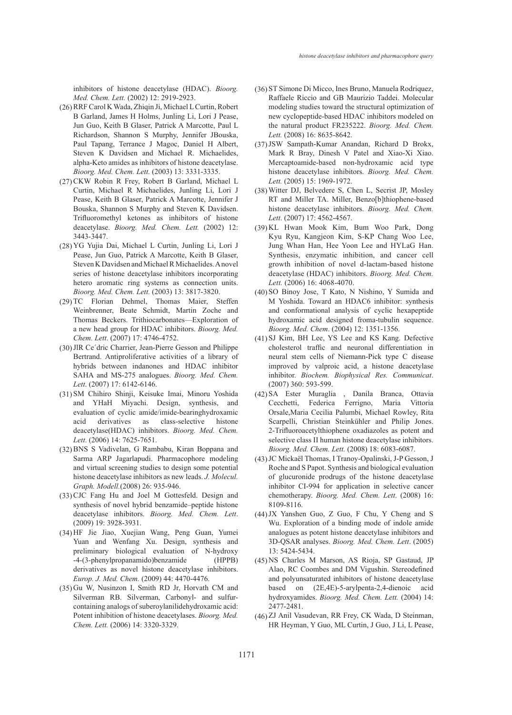inhibitors of histone deacetylase (HDAC). *Bioorg. Med. Chem. Lett.* (2002) 12: 2919-2923.

- (26) RRF Carol K Wada, Zhiqin Ji, Michael L Curtin, Robert B Garland, James H Holms, Junling Li, Lori J Pease, Jun Guo, Keith B Glaser, Patrick A Marcotte, Paul L Richardson, Shannon S Murphy, Jennifer JBouska, Paul Tapang, Terrance J Magoc, Daniel H Albert, Steven K Davidsen and Michael R. Michaelides, alpha-Keto amides as inhibitors of histone deacetylase. *Bioorg. Med. Chem. Lett.* (2003) 13: 3331-3335.
- (27) CKW Robin R Frey, Robert B Garland, Michael L Curtin, Michael R Michaelides, Junling Li, Lori J Pease, Keith B Glaser, Patrick A Marcotte, Jennifer J Bouska, Shannon S Murphy and Steven K Davidsen. Trifluoromethyl ketones as inhibitors of histone deacetylase. *Bioorg. Med. Chem. Lett.* (2002) 12: 3443-3447.
- YG Yujia Dai, Michael L Curtin, Junling Li, Lori J (28) Pease, Jun Guo, Patrick A Marcotte, Keith B Glaser, Steven K Davidsen and Michael R Michaelides. A novel series of histone deacetylase inhibitors incorporating hetero aromatic ring systems as connection units. *Bioorg. Med. Chem. Lett.* (2003) 13: 3817-3820.
- (29) TC Florian Dehmel, Thomas Maier, Steffen Weinbrenner, Beate Schmidt, Martin Zoche and Thomas Beckers. Trithiocarbonates—Exploration of a new head group for HDAC inhibitors. *Bioorg. Med. Chem. Lett*. (2007) 17: 4746-4752.
- (30) JlR Ce'dric Charrier, Jean-Pierre Gesson and Philippe Bertrand. Antiproliferative activities of a library of hybrids between indanones and HDAC inhibitor SAHA and MS-275 analogues. *Bioorg. Med. Chem. Lett*. (2007) 17: 6142-6146.
- (31) SM Chihiro Shinji, Keisuke Imai, Minoru Yoshida and YHaH Miyachi. Design, synthesis, and evaluation of cyclic amide/imide-bearinghydroxamic acid derivatives as class-selective histone deacetylase(HDAC) inhibitors. *Bioorg. Med. Chem. Lett*. (2006) 14: 7625-7651.
- (32) BNS S Vadivelan, G Rambabu, Kiran Boppana and Sarma ARP Jagarlapudi. Pharmacophore modeling and virtual screening studies to design some potential histone deacetylase inhibitors as new leads. *J. Molecul. Graph. Modell.*(2008) 26: 935-946.
- (33) CJC Fang Hu and Joel M Gottesfeld. Design and synthesis of novel hybrid benzamide–peptide histone deacetylase inhibitors. *Bioorg. Med. Chem. Lett*. (2009) 19: 3928-3931.
- HF Jie Jiao, Xuejian Wang, Peng Guan, Yumei (34) Yuan and Wenfang Xu. Design, synthesis and preliminary biological evaluation of N-hydroxy -4-(3-phenylpropanamido)benzamide (HPPB) derivatives as novel histone deacetylase inhibitors. *Europ. J. Med. Chem.* (2009) 44: 4470-4476.
- (35) Gu W, Nusinzon I, Smith RD Jr, Horvath CM and Silverman RB. Silverman, Carbonyl- and sulfurcontaining analogs of suberoylanilidehydroxamic acid: Potent inhibition of histone deacetylases. *Bioorg. Med. Chem. Lett.* (2006) 14: 3320-3329.
- (36) ST Simone Di Micco, Ines Bruno, Manuela Rodriquez, Raffaele Riccio and GB Maurizio Taddei. Molecular modeling studies toward the structural optimization of new cyclopeptide-based HDAC inhibitors modeled on the natural product FR235222. *Bioorg. Med. Chem. Lett.* (2008) 16: 8635-8642.
- (37) JSW Sampath-Kumar Anandan, Richard D Brokx, Mark R Bray, Dinesh V Patel and Xiao-Xi Xiao. Mercaptoamide-based non-hydroxamic acid type histone deacetylase inhibitors. *Bioorg. Med. Chem. Lett.* (2005) 15: 1969-1972.
- Witter DJ, Belvedere S, Chen L, Secrist JP, Mosley (38) RT and Miller TA. Miller, Benzo[b]thiophene-based histone deacetylase inhibitors. *Bioorg. Med. Chem. Lett*. (2007) 17: 4562-4567.
- (39) KL Hwan Mook Kim, Bum Woo Park, Dong Kyu Ryu, Kangjeon Kim, S-KP Chang Woo Lee, Jung Whan Han, Hee Yoon Lee and HYLaG Han. Synthesis, enzymatic inhibition, and cancer cell growth inhibition of novel d-lactam-based histone deacetylase (HDAC) inhibitors. *Bioorg. Med. Chem. Lett.* (2006) 16: 4068-4070.
- (40) SO Binoy Jose, T Kato, N Nishino, Y Sumida and M Yoshida. Toward an HDAC6 inhibitor: synthesis and conformational analysis of cyclic hexapeptide hydroxamic acid designed froma-tubulin sequence. *Bioorg. Med. Chem*. (2004) 12: 1351-1356.
- (41) SJ Kim, BH Lee, YS Lee and KS Kang. Defective cholesterol traffic and neuronal differentiation in neural stem cells of Niemann-Pick type C disease improved by valproic acid, a histone deacetylase inhibitor. *Biochem. Biophysical Res. Communicat*. (2007) 360: 593-599.
- SA Ester Muraglia , Danila Branca, Ottavia (42) Cecchetti, Federica Ferrigno, Maria Vittoria Orsale,Maria Cecilia Palumbi, Michael Rowley, Rita Scarpelli, Christian Steinkühler and Philip Jones. 2-Trifluoroacetylthiophene oxadiazoles as potent and selective class II human histone deacetylase inhibitors. *Bioorg. Med. Chem. Lett.* (2008) 18: 6083-6087.
- JC Mickaël Thomas, I Tranoy-Opalinski, J-P Gesson, J (43) Roche and S Papot. Synthesis and biological evaluation of glucuronide prodrugs of the histone deacetylase inhibitor CI-994 for application in selective cancer chemotherapy. *Bioorg. Med. Chem. Lett*. (2008) 16: 8109-8116.
- $(44)$  JX Yanshen Guo, Z Guo, F Chu, Y Cheng and S Wu. Exploration of a binding mode of indole amide analogues as potent histone deacetylase inhibitors and 3D-QSAR analyses. *Bioorg. Med. Chem. Lett*. (2005) 13: 5424-5434.
- NS Charles M Marson, AS Rioja, SP Gastaud, JP (45) Alao, RC Coombes and DM Vigushin. Stereodefined and polyunsaturated inhibitors of histone deacetylase based on (2E,4E)-5-arylpenta-2,4-dienoic acid hydroxyamides. *Bioorg. Med. Chem. Lett.* (2004) 14: 2477-2481.
- (46) ZJ Anil Vasudevan, RR Frey, CK Wada, D Steinman, HR Heyman, Y Guo, ML Curtin, J Guo, J Li, L Pease,